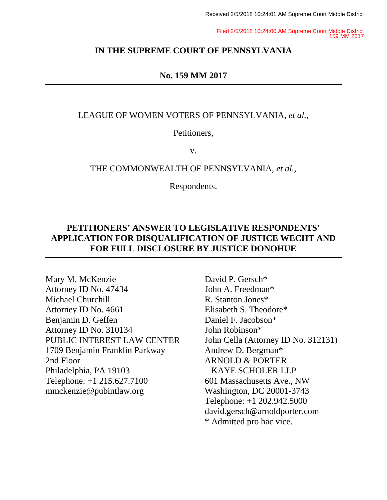Filed 2/5/2018 10:24:00 AM Supreme Court Middle District 159 MM 2017

#### **IN THE SUPREME COURT OF PENNSYLVANIA**

#### **No. 159 MM 2017**

LEAGUE OF WOMEN VOTERS OF PENNSYLVANIA, *et al.*,

Petitioners,

v.

THE COMMONWEALTH OF PENNSYLVANIA, *et al.*,

Respondents.

## **PETITIONERS' ANSWER TO LEGISLATIVE RESPONDENTS' APPLICATION FOR DISQUALIFICATION OF JUSTICE WECHT AND FOR FULL DISCLOSURE BY JUSTICE DONOHUE**

Mary M. McKenzie Attorney ID No. 47434 Michael Churchill Attorney ID No. 4661 Benjamin D. Geffen Attorney ID No. 310134 PUBLIC INTEREST LAW CENTER 1709 Benjamin Franklin Parkway 2nd Floor Philadelphia, PA 19103 Telephone: +1 215.627.7100 mmckenzie@pubintlaw.org

David P. Gersch\* John A. Freedman\* R. Stanton Jones\* Elisabeth S. Theodore\* Daniel F. Jacobson\* John Robinson\* John Cella (Attorney ID No. 312131) Andrew D. Bergman\* ARNOLD & PORTER KAYE SCHOLER LLP 601 Massachusetts Ave., NW Washington, DC 20001-3743 Telephone: +1 202.942.5000 david.gersch@arnoldporter.com \* Admitted pro hac vice.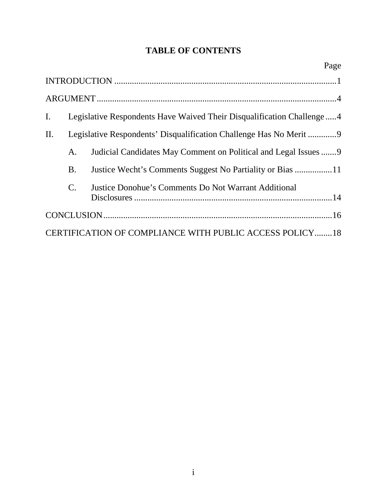# **TABLE OF CONTENTS**

|                                                         |                                                                       | Page                                                             |  |
|---------------------------------------------------------|-----------------------------------------------------------------------|------------------------------------------------------------------|--|
|                                                         |                                                                       |                                                                  |  |
|                                                         |                                                                       |                                                                  |  |
| I.                                                      | Legislative Respondents Have Waived Their Disqualification Challenge4 |                                                                  |  |
| II.                                                     |                                                                       | Legislative Respondents' Disqualification Challenge Has No Merit |  |
|                                                         | A.                                                                    | Judicial Candidates May Comment on Political and Legal Issues9   |  |
|                                                         | <b>B.</b>                                                             |                                                                  |  |
|                                                         | $\mathcal{C}$ .                                                       | Justice Donohue's Comments Do Not Warrant Additional             |  |
|                                                         |                                                                       |                                                                  |  |
| CERTIFICATION OF COMPLIANCE WITH PUBLIC ACCESS POLICY18 |                                                                       |                                                                  |  |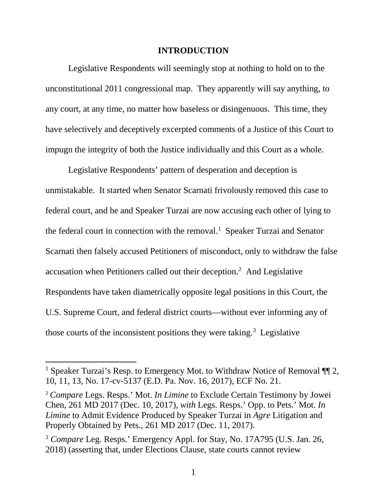#### **INTRODUCTION**

Legislative Respondents will seemingly stop at nothing to hold on to the unconstitutional 2011 congressional map. They apparently will say anything, to any court, at any time, no matter how baseless or disingenuous. This time, they have selectively and deceptively excerpted comments of a Justice of this Court to impugn the integrity of both the Justice individually and this Court as a whole.

Legislative Respondents' pattern of desperation and deception is unmistakable. It started when Senator Scarnati frivolously removed this case to federal court, and he and Speaker Turzai are now accusing each other of lying to the federal court in connection with the removal. 1 Speaker Turzai and Senator Scarnati then falsely accused Petitioners of misconduct, only to withdraw the false accusation when Petitioners called out their deception.<sup>2</sup> And Legislative Respondents have taken diametrically opposite legal positions in this Court, the U.S. Supreme Court, and federal district courts—without ever informing any of those courts of the inconsistent positions they were taking. 3 Legislative

<sup>&</sup>lt;sup>1</sup> Speaker Turzai's Resp. to Emergency Mot. to Withdraw Notice of Removal  $\P$  2, 10, 11, 13, No. 17-cv-5137 (E.D. Pa. Nov. 16, 2017), ECF No. 21.

<sup>2</sup> *Compare* Legs. Resps.' Mot. *In Limine* to Exclude Certain Testimony by Jowei Chen, 261 MD 2017 (Dec. 10, 2017), *with* Legs. Resps.' Opp. to Pets.' Mot. *In Limine* to Admit Evidence Produced by Speaker Turzai in *Agre* Litigation and Properly Obtained by Pets., 261 MD 2017 (Dec. 11, 2017).

<sup>3</sup> *Compare* Leg. Resps.' Emergency Appl. for Stay, No. 17A795 (U.S. Jan. 26, 2018) (asserting that, under Elections Clause, state courts cannot review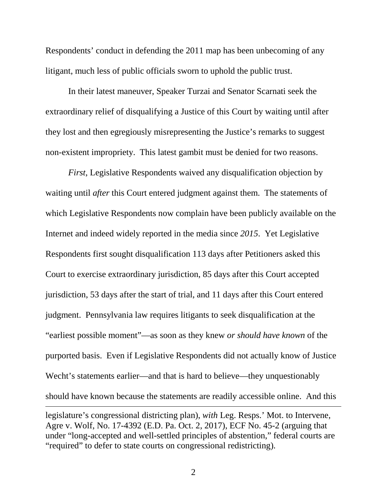Respondents' conduct in defending the 2011 map has been unbecoming of any litigant, much less of public officials sworn to uphold the public trust.

In their latest maneuver, Speaker Turzai and Senator Scarnati seek the extraordinary relief of disqualifying a Justice of this Court by waiting until after they lost and then egregiously misrepresenting the Justice's remarks to suggest non-existent impropriety. This latest gambit must be denied for two reasons.

*First*, Legislative Respondents waived any disqualification objection by waiting until *after* this Court entered judgment against them. The statements of which Legislative Respondents now complain have been publicly available on the Internet and indeed widely reported in the media since *2015*. Yet Legislative Respondents first sought disqualification 113 days after Petitioners asked this Court to exercise extraordinary jurisdiction, 85 days after this Court accepted jurisdiction, 53 days after the start of trial, and 11 days after this Court entered judgment. Pennsylvania law requires litigants to seek disqualification at the "earliest possible moment"—as soon as they knew *or should have known* of the purported basis. Even if Legislative Respondents did not actually know of Justice Wecht's statements earlier—and that is hard to believe—they unquestionably should have known because the statements are readily accessible online. And this  $\overline{a}$ legislature's congressional districting plan), *with* Leg. Resps.' Mot. to Intervene,

Agre v. Wolf, No. 17-4392 (E.D. Pa. Oct. 2, 2017), ECF No. 45-2 (arguing that under "long-accepted and well-settled principles of abstention," federal courts are "required" to defer to state courts on congressional redistricting).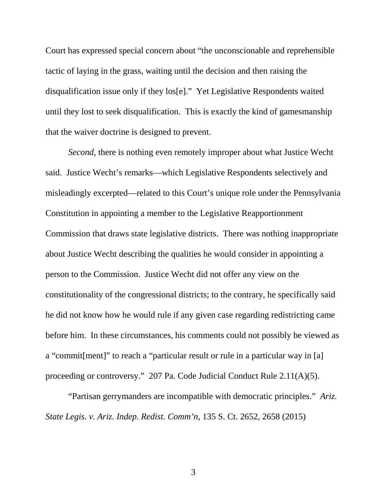Court has expressed special concern about "the unconscionable and reprehensible tactic of laying in the grass, waiting until the decision and then raising the disqualification issue only if they los[e]." Yet Legislative Respondents waited until they lost to seek disqualification. This is exactly the kind of gamesmanship that the waiver doctrine is designed to prevent.

*Second*, there is nothing even remotely improper about what Justice Wecht said. Justice Wecht's remarks—which Legislative Respondents selectively and misleadingly excerpted—related to this Court's unique role under the Pennsylvania Constitution in appointing a member to the Legislative Reapportionment Commission that draws state legislative districts. There was nothing inappropriate about Justice Wecht describing the qualities he would consider in appointing a person to the Commission. Justice Wecht did not offer any view on the constitutionality of the congressional districts; to the contrary, he specifically said he did not know how he would rule if any given case regarding redistricting came before him. In these circumstances, his comments could not possibly be viewed as a "commit[ment]" to reach a "particular result or rule in a particular way in [a] proceeding or controversy." 207 Pa. Code Judicial Conduct Rule 2.11(A)(5).

"Partisan gerrymanders are incompatible with democratic principles." *Ariz. State Legis. v. Ariz. Indep. Redist. Comm'n*, 135 S. Ct. 2652, 2658 (2015)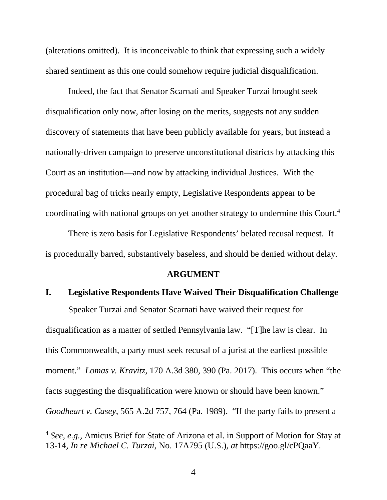(alterations omitted). It is inconceivable to think that expressing such a widely shared sentiment as this one could somehow require judicial disqualification.

Indeed, the fact that Senator Scarnati and Speaker Turzai brought seek disqualification only now, after losing on the merits, suggests not any sudden discovery of statements that have been publicly available for years, but instead a nationally-driven campaign to preserve unconstitutional districts by attacking this Court as an institution—and now by attacking individual Justices. With the procedural bag of tricks nearly empty, Legislative Respondents appear to be coordinating with national groups on yet another strategy to undermine this Court.<sup>4</sup>

There is zero basis for Legislative Respondents' belated recusal request. It is procedurally barred, substantively baseless, and should be denied without delay.

#### **ARGUMENT**

#### **I. Legislative Respondents Have Waived Their Disqualification Challenge**

Speaker Turzai and Senator Scarnati have waived their request for disqualification as a matter of settled Pennsylvania law. "[T]he law is clear. In this Commonwealth, a party must seek recusal of a jurist at the earliest possible moment." *Lomas v. Kravitz*, 170 A.3d 380, 390 (Pa. 2017). This occurs when "the facts suggesting the disqualification were known or should have been known." *Goodheart v. Casey*, 565 A.2d 757, 764 (Pa. 1989). "If the party fails to present a

 <sup>4</sup> *See, e.g.*, Amicus Brief for State of Arizona et al. in Support of Motion for Stay at 13-14, *In re Michael C. Turzai*, No. 17A795 (U.S.), *at* https://goo.gl/cPQaaY.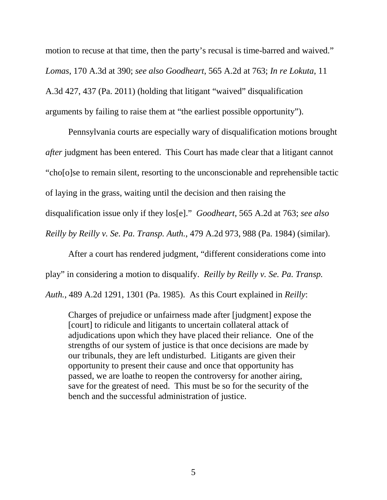motion to recuse at that time, then the party's recusal is time-barred and waived." *Lomas*, 170 A.3d at 390; *see also Goodheart*, 565 A.2d at 763; *In re Lokuta*, 11 A.3d 427, 437 (Pa. 2011) (holding that litigant "waived" disqualification arguments by failing to raise them at "the earliest possible opportunity").

Pennsylvania courts are especially wary of disqualification motions brought *after* judgment has been entered. This Court has made clear that a litigant cannot "cho[o]se to remain silent, resorting to the unconscionable and reprehensible tactic of laying in the grass, waiting until the decision and then raising the disqualification issue only if they los[e]." *Goodheart*, 565 A.2d at 763; *see also Reilly by Reilly v. Se. Pa. Transp. Auth.*, 479 A.2d 973, 988 (Pa. 1984) (similar).

After a court has rendered judgment, "different considerations come into play" in considering a motion to disqualify. *Reilly by Reilly v. Se. Pa. Transp. Auth.*, 489 A.2d 1291, 1301 (Pa. 1985). As this Court explained in *Reilly*:

Charges of prejudice or unfairness made after [judgment] expose the [court] to ridicule and litigants to uncertain collateral attack of adjudications upon which they have placed their reliance. One of the strengths of our system of justice is that once decisions are made by our tribunals, they are left undisturbed. Litigants are given their opportunity to present their cause and once that opportunity has passed, we are loathe to reopen the controversy for another airing, save for the greatest of need. This must be so for the security of the bench and the successful administration of justice.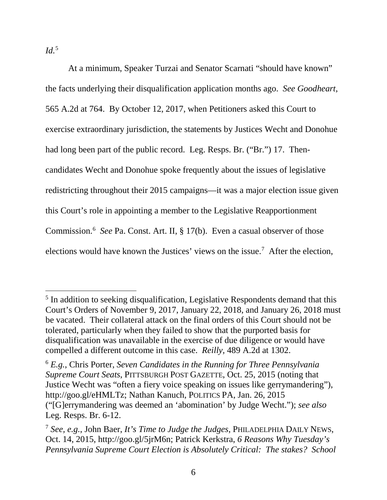*Id.*<sup>5</sup>

At a minimum, Speaker Turzai and Senator Scarnati "should have known" the facts underlying their disqualification application months ago. *See Goodheart*, 565 A.2d at 764. By October 12, 2017, when Petitioners asked this Court to exercise extraordinary jurisdiction, the statements by Justices Wecht and Donohue had long been part of the public record. Leg. Resps. Br. ("Br.") 17. Thencandidates Wecht and Donohue spoke frequently about the issues of legislative redistricting throughout their 2015 campaigns—it was a major election issue given this Court's role in appointing a member to the Legislative Reapportionment Commission. <sup>6</sup> *See* Pa. Const. Art. II, § 17(b). Even a casual observer of those elections would have known the Justices' views on the issue. 7 After the election,

<sup>&</sup>lt;sup>5</sup> In addition to seeking disqualification, Legislative Respondents demand that this Court's Orders of November 9, 2017, January 22, 2018, and January 26, 2018 must be vacated. Their collateral attack on the final orders of this Court should not be tolerated, particularly when they failed to show that the purported basis for disqualification was unavailable in the exercise of due diligence or would have compelled a different outcome in this case. *Reilly,* 489 A.2d at 1302.

<sup>6</sup> *E.g.*, Chris Porter, *Seven Candidates in the Running for Three Pennsylvania Supreme Court Seats*, PITTSBURGH POST GAZETTE, Oct. 25, 2015 (noting that Justice Wecht was "often a fiery voice speaking on issues like gerrymandering"), http://goo.gl/eHMLTz; Nathan Kanuch, POLITICS PA, Jan. 26, 2015 ("[G]errymandering was deemed an 'abomination' by Judge Wecht."); *see also* Leg. Resps. Br. 6-12.

<sup>7</sup> *See, e.g.*, John Baer, *It's Time to Judge the Judges*, PHILADELPHIA DAILY NEWS, Oct. 14, 2015, http://goo.gl/5jrM6n; Patrick Kerkstra, *6 Reasons Why Tuesday's Pennsylvania Supreme Court Election is Absolutely Critical: The stakes? School*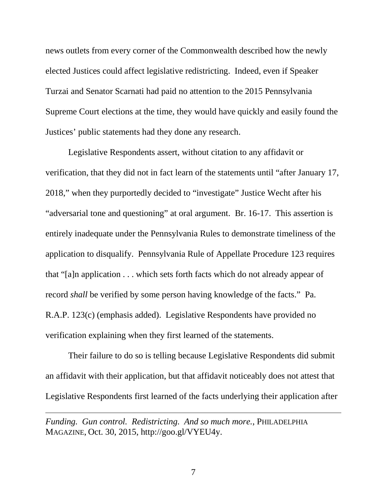news outlets from every corner of the Commonwealth described how the newly elected Justices could affect legislative redistricting. Indeed, even if Speaker Turzai and Senator Scarnati had paid no attention to the 2015 Pennsylvania Supreme Court elections at the time, they would have quickly and easily found the Justices' public statements had they done any research.

Legislative Respondents assert, without citation to any affidavit or verification, that they did not in fact learn of the statements until "after January 17, 2018," when they purportedly decided to "investigate" Justice Wecht after his "adversarial tone and questioning" at oral argument. Br. 16-17. This assertion is entirely inadequate under the Pennsylvania Rules to demonstrate timeliness of the application to disqualify. Pennsylvania Rule of Appellate Procedure 123 requires that "[a]n application . . . which sets forth facts which do not already appear of record *shall* be verified by some person having knowledge of the facts." Pa. R.A.P. 123(c) (emphasis added). Legislative Respondents have provided no verification explaining when they first learned of the statements.

Their failure to do so is telling because Legislative Respondents did submit an affidavit with their application, but that affidavit noticeably does not attest that Legislative Respondents first learned of the facts underlying their application after

*Funding. Gun control. Redistricting. And so much more.*, PHILADELPHIA MAGAZINE, Oct. 30, 2015, http://goo.gl/VYEU4y.

 $\overline{a}$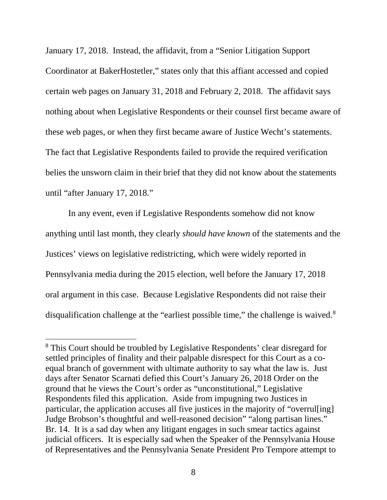January 17, 2018. Instead, the affidavit, from a "Senior Litigation Support Coordinator at BakerHostetler," states only that this affiant accessed and copied certain web pages on January 31, 2018 and February 2, 2018. The affidavit says nothing about when Legislative Respondents or their counsel first became aware of these web pages, or when they first became aware of Justice Wecht's statements. The fact that Legislative Respondents failed to provide the required verification belies the unsworn claim in their brief that they did not know about the statements until "after January 17, 2018."

In any event, even if Legislative Respondents somehow did not know anything until last month, they clearly *should have known* of the statements and the Justices' views on legislative redistricting, which were widely reported in Pennsylvania media during the 2015 election, well before the January 17, 2018 oral argument in this case. Because Legislative Respondents did not raise their disqualification challenge at the "earliest possible time," the challenge is waived.<sup>8</sup>

 <sup>8</sup> This Court should be troubled by Legislative Respondents' clear disregard for settled principles of finality and their palpable disrespect for this Court as a coequal branch of government with ultimate authority to say what the law is. Just days after Senator Scarnati defied this Court's January 26, 2018 Order on the ground that he views the Court's order as "unconstitutional," Legislative Respondents filed this application. Aside from impugning two Justices in particular, the application accuses all five justices in the majority of "overrul[ing] Judge Brobson's thoughtful and well-reasoned decision" "along partisan lines." Br. 14. It is a sad day when any litigant engages in such smear tactics against judicial officers. It is especially sad when the Speaker of the Pennsylvania House of Representatives and the Pennsylvania Senate President Pro Tempore attempt to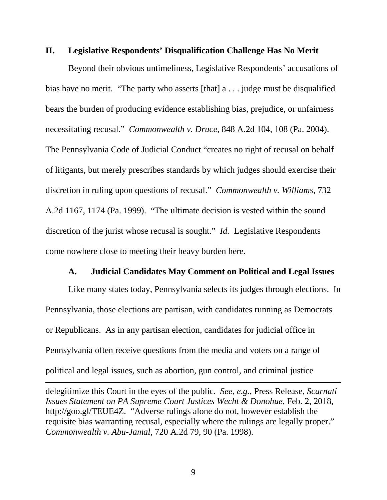#### **II. Legislative Respondents' Disqualification Challenge Has No Merit**

Beyond their obvious untimeliness, Legislative Respondents' accusations of bias have no merit. "The party who asserts  $[that]$  a ... judge must be disqualified bears the burden of producing evidence establishing bias, prejudice, or unfairness necessitating recusal." *Commonwealth v. Druce*, 848 A.2d 104, 108 (Pa. 2004). The Pennsylvania Code of Judicial Conduct "creates no right of recusal on behalf of litigants, but merely prescribes standards by which judges should exercise their discretion in ruling upon questions of recusal." *Commonwealth v. Williams*, 732 A.2d 1167, 1174 (Pa. 1999). "The ultimate decision is vested within the sound discretion of the jurist whose recusal is sought." *Id.* Legislative Respondents come nowhere close to meeting their heavy burden here.

### **A. Judicial Candidates May Comment on Political and Legal Issues**

Like many states today, Pennsylvania selects its judges through elections. In Pennsylvania, those elections are partisan, with candidates running as Democrats or Republicans. As in any partisan election, candidates for judicial office in Pennsylvania often receive questions from the media and voters on a range of political and legal issues, such as abortion, gun control, and criminal justice

delegitimize this Court in the eyes of the public. *See, e.g.*, Press Release, *Scarnati Issues Statement on PA Supreme Court Justices Wecht & Donohue*, Feb. 2, 2018, http://goo.gl/TEUE4Z. "Adverse rulings alone do not, however establish the requisite bias warranting recusal, especially where the rulings are legally proper." *Commonwealth v. Abu-Jamal*, 720 A.2d 79, 90 (Pa. 1998).

 $\overline{a}$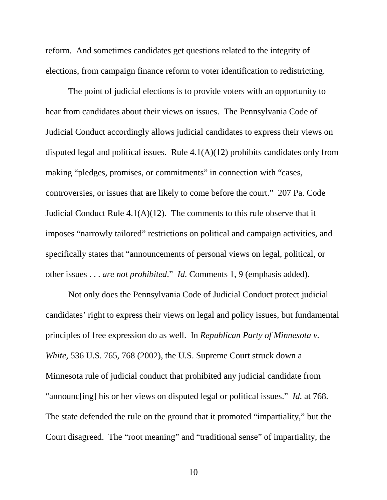reform. And sometimes candidates get questions related to the integrity of elections, from campaign finance reform to voter identification to redistricting.

The point of judicial elections is to provide voters with an opportunity to hear from candidates about their views on issues. The Pennsylvania Code of Judicial Conduct accordingly allows judicial candidates to express their views on disputed legal and political issues. Rule  $4.1(A)(12)$  prohibits candidates only from making "pledges, promises, or commitments" in connection with "cases, controversies, or issues that are likely to come before the court." 207 Pa. Code Judicial Conduct Rule  $4.1(A)(12)$ . The comments to this rule observe that it imposes "narrowly tailored" restrictions on political and campaign activities, and specifically states that "announcements of personal views on legal, political, or other issues . . . *are not prohibited*." *Id.* Comments 1, 9 (emphasis added).

Not only does the Pennsylvania Code of Judicial Conduct protect judicial candidates' right to express their views on legal and policy issues, but fundamental principles of free expression do as well. In *Republican Party of Minnesota v. White*, 536 U.S. 765, 768 (2002), the U.S. Supreme Court struck down a Minnesota rule of judicial conduct that prohibited any judicial candidate from "announc[ing] his or her views on disputed legal or political issues." *Id.* at 768. The state defended the rule on the ground that it promoted "impartiality," but the Court disagreed. The "root meaning" and "traditional sense" of impartiality, the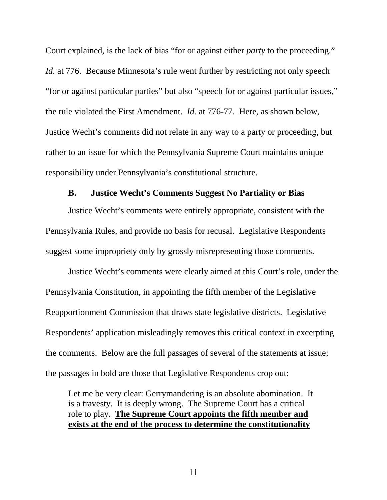Court explained, is the lack of bias "for or against either *party* to the proceeding." *Id.* at 776. Because Minnesota's rule went further by restricting not only speech "for or against particular parties" but also "speech for or against particular issues," the rule violated the First Amendment. *Id.* at 776-77. Here, as shown below, Justice Wecht's comments did not relate in any way to a party or proceeding, but rather to an issue for which the Pennsylvania Supreme Court maintains unique responsibility under Pennsylvania's constitutional structure.

### **B. Justice Wecht's Comments Suggest No Partiality or Bias**

Justice Wecht's comments were entirely appropriate, consistent with the Pennsylvania Rules, and provide no basis for recusal. Legislative Respondents suggest some impropriety only by grossly misrepresenting those comments.

Justice Wecht's comments were clearly aimed at this Court's role, under the Pennsylvania Constitution, in appointing the fifth member of the Legislative Reapportionment Commission that draws state legislative districts. Legislative Respondents' application misleadingly removes this critical context in excerpting the comments. Below are the full passages of several of the statements at issue; the passages in bold are those that Legislative Respondents crop out:

Let me be very clear: Gerrymandering is an absolute abomination. It is a travesty. It is deeply wrong. The Supreme Court has a critical role to play. **The Supreme Court appoints the fifth member and exists at the end of the process to determine the constitutionality**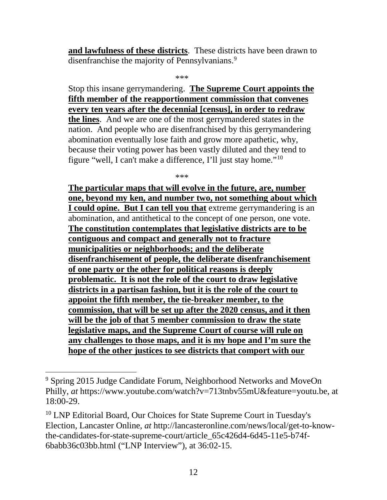**and lawfulness of these districts**. These districts have been drawn to disenfranchise the majority of Pennsylvanians.<sup>9</sup>

\*\*\*

Stop this insane gerrymandering. **The Supreme Court appoints the fifth member of the reapportionment commission that convenes every ten years after the decennial [census], in order to redraw the lines**. And we are one of the most gerrymandered states in the nation. And people who are disenfranchised by this gerrymandering abomination eventually lose faith and grow more apathetic, why, because their voting power has been vastly diluted and they tend to figure "well, I can't make a difference, I'll just stay home."10

\*\*\*

**The particular maps that will evolve in the future, are, number one, beyond my ken, and number two, not something about which I could opine. But I can tell you that** extreme gerrymandering is an abomination, and antithetical to the concept of one person, one vote. **The constitution contemplates that legislative districts are to be contiguous and compact and generally not to fracture municipalities or neighborhoods; and the deliberate disenfranchisement of people, the deliberate disenfranchisement of one party or the other for political reasons is deeply problematic. It is not the role of the court to draw legislative districts in a partisan fashion, but it is the role of the court to appoint the fifth member, the tie-breaker member, to the commission, that will be set up after the 2020 census, and it then will be the job of that 5 member commission to draw the state legislative maps, and the Supreme Court of course will rule on any challenges to those maps, and it is my hope and I'm sure the hope of the other justices to see districts that comport with our** 

 <sup>9</sup> Spring 2015 Judge Candidate Forum, Neighborhood Networks and MoveOn Philly, *at* https://www.youtube.com/watch?v=713tnbv55mU&feature=youtu.be, at 18:00-29.

<sup>&</sup>lt;sup>10</sup> LNP Editorial Board, Our Choices for State Supreme Court in Tuesday's Election, Lancaster Online, *at* http://lancasteronline.com/news/local/get-to-knowthe-candidates-for-state-supreme-court/article\_65c426d4-6d45-11e5-b74f-6babb36c03bb.html ("LNP Interview"), at 36:02-15.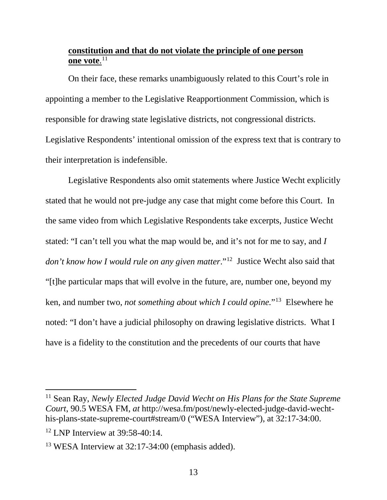## **constitution and that do not violate the principle of one person one vote**. 11

On their face, these remarks unambiguously related to this Court's role in appointing a member to the Legislative Reapportionment Commission, which is responsible for drawing state legislative districts, not congressional districts. Legislative Respondents' intentional omission of the express text that is contrary to their interpretation is indefensible.

Legislative Respondents also omit statements where Justice Wecht explicitly stated that he would not pre-judge any case that might come before this Court. In the same video from which Legislative Respondents take excerpts, Justice Wecht stated: "I can't tell you what the map would be, and it's not for me to say, and *I don't know how I would rule on any given matter*."12 Justice Wecht also said that "[t]he particular maps that will evolve in the future, are, number one, beyond my ken, and number two, *not something about which I could opine.*"13 Elsewhere he noted: "I don't have a judicial philosophy on drawing legislative districts. What I have is a fidelity to the constitution and the precedents of our courts that have

 11 Sean Ray, *Newly Elected Judge David Wecht on His Plans for the State Supreme Court*, 90.5 WESA FM, *at* http://wesa.fm/post/newly-elected-judge-david-wechthis-plans-state-supreme-court#stream/0 ("WESA Interview"), at 32:17-34:00.

 $12$  LNP Interview at 39:58-40:14.

<sup>13</sup> WESA Interview at 32:17-34:00 (emphasis added).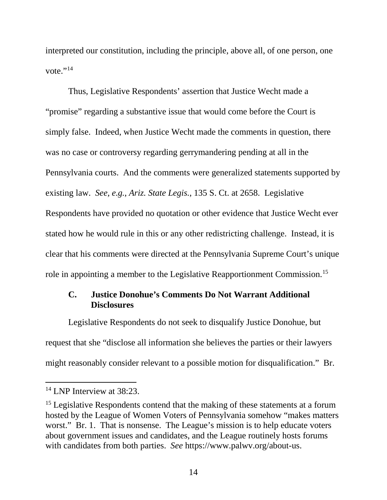interpreted our constitution, including the principle, above all, of one person, one vote." $^{14}$ 

Thus, Legislative Respondents' assertion that Justice Wecht made a "promise" regarding a substantive issue that would come before the Court is simply false. Indeed, when Justice Wecht made the comments in question, there was no case or controversy regarding gerrymandering pending at all in the Pennsylvania courts. And the comments were generalized statements supported by existing law. *See, e.g.*, *Ariz. State Legis.*, 135 S. Ct. at 2658. Legislative Respondents have provided no quotation or other evidence that Justice Wecht ever stated how he would rule in this or any other redistricting challenge. Instead, it is clear that his comments were directed at the Pennsylvania Supreme Court's unique role in appointing a member to the Legislative Reapportionment Commission.15

## **C. Justice Donohue's Comments Do Not Warrant Additional Disclosures**

Legislative Respondents do not seek to disqualify Justice Donohue, but request that she "disclose all information she believes the parties or their lawyers might reasonably consider relevant to a possible motion for disqualification." Br.

<sup>&</sup>lt;sup>14</sup> LNP Interview at 38:23.

<sup>&</sup>lt;sup>15</sup> Legislative Respondents contend that the making of these statements at a forum hosted by the League of Women Voters of Pennsylvania somehow "makes matters worst." Br. 1. That is nonsense. The League's mission is to help educate voters about government issues and candidates, and the League routinely hosts forums with candidates from both parties. *See* https://www.palwv.org/about-us.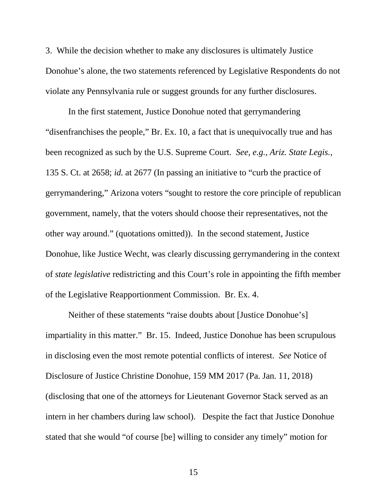3. While the decision whether to make any disclosures is ultimately Justice Donohue's alone, the two statements referenced by Legislative Respondents do not violate any Pennsylvania rule or suggest grounds for any further disclosures.

In the first statement, Justice Donohue noted that gerrymandering "disenfranchises the people," Br. Ex. 10, a fact that is unequivocally true and has been recognized as such by the U.S. Supreme Court. *See, e.g.*, *Ariz. State Legis.*, 135 S. Ct. at 2658; *id.* at 2677 (In passing an initiative to "curb the practice of gerrymandering," Arizona voters "sought to restore the core principle of republican government, namely, that the voters should choose their representatives, not the other way around." (quotations omitted)). In the second statement, Justice Donohue, like Justice Wecht, was clearly discussing gerrymandering in the context of *state legislative* redistricting and this Court's role in appointing the fifth member of the Legislative Reapportionment Commission. Br. Ex. 4.

Neither of these statements "raise doubts about [Justice Donohue's] impartiality in this matter." Br. 15. Indeed, Justice Donohue has been scrupulous in disclosing even the most remote potential conflicts of interest. *See* Notice of Disclosure of Justice Christine Donohue, 159 MM 2017 (Pa. Jan. 11, 2018) (disclosing that one of the attorneys for Lieutenant Governor Stack served as an intern in her chambers during law school). Despite the fact that Justice Donohue stated that she would "of course [be] willing to consider any timely" motion for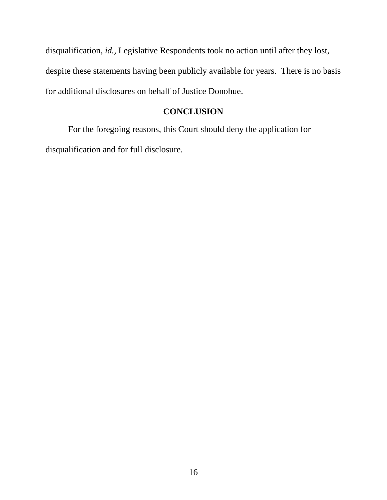disqualification, *id.*, Legislative Respondents took no action until after they lost, despite these statements having been publicly available for years. There is no basis for additional disclosures on behalf of Justice Donohue.

### **CONCLUSION**

For the foregoing reasons, this Court should deny the application for disqualification and for full disclosure.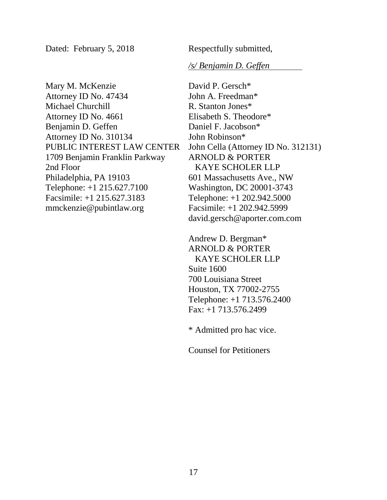Dated: February 5, 2018 Respectfully submitted,

*/s/ Benjamin D. Geffen*

Mary M. McKenzie Attorney ID No. 47434 Michael Churchill Attorney ID No. 4661 Benjamin D. Geffen Attorney ID No. 310134 PUBLIC INTEREST LAW CENTER 1709 Benjamin Franklin Parkway 2nd Floor Philadelphia, PA 19103 Telephone: +1 215.627.7100 Facsimile: +1 215.627.3183 mmckenzie@pubintlaw.org

David P. Gersch\* John A. Freedman\* R. Stanton Jones\* Elisabeth S. Theodore\* Daniel F. Jacobson\* John Robinson\* John Cella (Attorney ID No. 312131) ARNOLD & PORTER KAYE SCHOLER LLP 601 Massachusetts Ave., NW Washington, DC 20001-3743 Telephone: +1 202.942.5000 Facsimile: +1 202.942.5999 david.gersch@aporter.com.com

Andrew D. Bergman\* ARNOLD & PORTER KAYE SCHOLER LLP Suite 1600 700 Louisiana Street Houston, TX 77002-2755 Telephone: +1 713.576.2400 Fax: +1 713.576.2499

\* Admitted pro hac vice.

Counsel for Petitioners